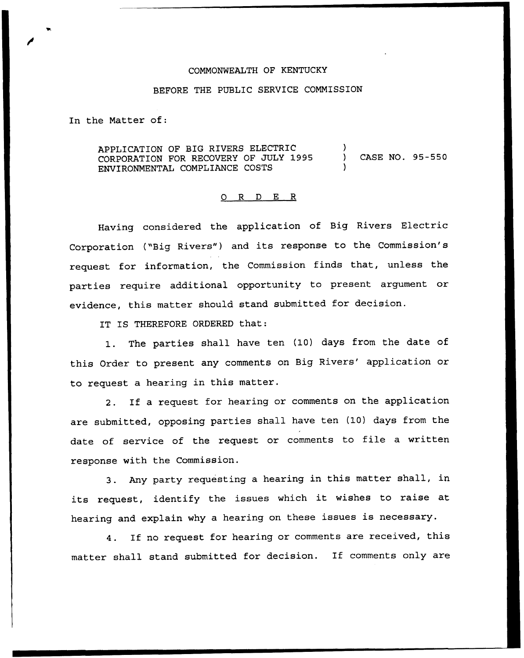## COMMONWEALTH OF KENTUCKY

## BEFORE THE PUBLIC SERVICE COMMISSION

In the Matter of:

APPLICATION OF BIG RIVERS ELECTRIC CORPORATION FOR RECOVERY OF JULY 1995 ENVIRONMENTAL COMPLIANCE COSTS ) ) CASE NO. 95-550 )

## 0 R <sup>D</sup> E R

Having considered the application of Big Rivers Electric Corporation ("Big Rivers") and its response to the Commission's request for information, the Commission finds that, unless the parties require additional opportunity to present argument or evidence, this matter should stand submitted for decision.

IT IS THEREFORE ORDERED that:

1. The parties shall have ten (10) days from the date of this Order to present any comments on Big Rivers' application or to request a hearing in this matter.

2. If a request for hearing or comments on the application are submitted, opposing parties shall have ten (10) days from the date of service of the request or comments to file <sup>a</sup> written response with the Commission.

3. Any party requesting <sup>a</sup> hearing in this matter shall, in its request, identify the issues which it wishes to raise at hearing and explain why <sup>a</sup> hearing on these issues is necessary.

4. If no request for hearing or comments are received, this matter shall stand submitted for decision. If comments only are